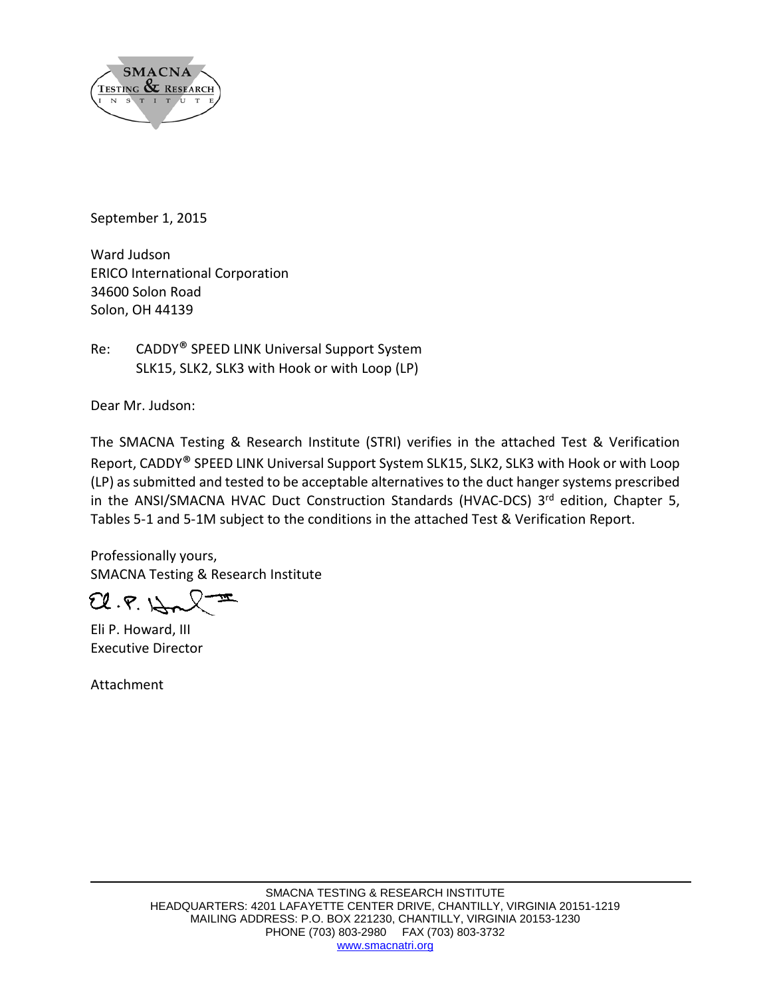

September 1, 2015

Ward Judson ERICO International Corporation 34600 Solon Road Solon, OH 44139

Re: CADDY® SPEED LINK Universal Support System SLK15, SLK2, SLK3 with Hook or with Loop (LP)

Dear Mr. Judson:

The SMACNA Testing & Research Institute (STRI) verifies in the attached Test & Verification Report, CADDY® SPEED LINK Universal Support System SLK15, SLK2, SLK3 with Hook or with Loop (LP) as submitted and tested to be acceptable alternatives to the duct hanger systems prescribed in the ANSI/SMACNA HVAC Duct Construction Standards (HVAC-DCS) 3rd edition, Chapter 5, Tables 5-1 and 5-1M subject to the conditions in the attached Test & Verification Report.

Professionally yours, SMACNA Testing & Research Institute

 $U.F. \downarrow \sim \sqrt{-1}$ 

Eli P. Howard, III Executive Director

Attachment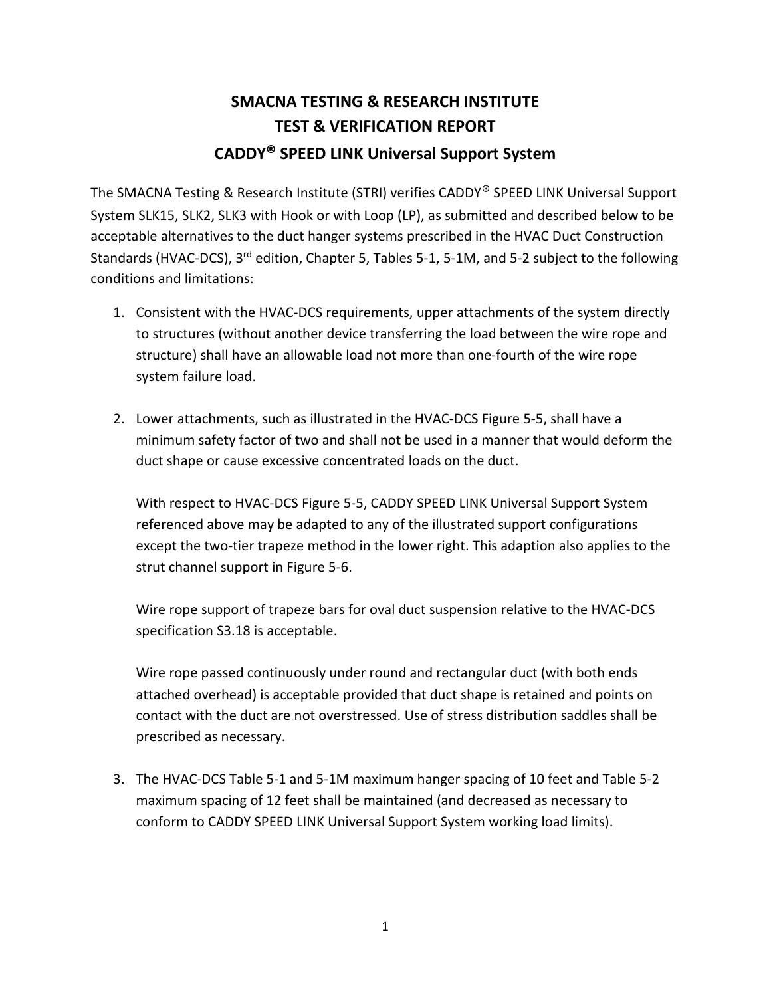## **SMACNA TESTING & RESEARCH INSTITUTE TEST & VERIFICATION REPORT CADDY® SPEED LINK Universal Support System**

The SMACNA Testing & Research Institute (STRI) verifies CADDY® SPEED LINK Universal Support System SLK15, SLK2, SLK3 with Hook or with Loop (LP), as submitted and described below to be acceptable alternatives to the duct hanger systems prescribed in the HVAC Duct Construction Standards (HVAC-DCS), 3<sup>rd</sup> edition, Chapter 5, Tables 5-1, 5-1M, and 5-2 subject to the following conditions and limitations:

- 1. Consistent with the HVAC-DCS requirements, upper attachments of the system directly to structures (without another device transferring the load between the wire rope and structure) shall have an allowable load not more than one-fourth of the wire rope system failure load.
- 2. Lower attachments, such as illustrated in the HVAC-DCS Figure 5-5, shall have a minimum safety factor of two and shall not be used in a manner that would deform the duct shape or cause excessive concentrated loads on the duct.

With respect to HVAC-DCS Figure 5-5, CADDY SPEED LINK Universal Support System referenced above may be adapted to any of the illustrated support configurations except the two-tier trapeze method in the lower right. This adaption also applies to the strut channel support in Figure 5-6.

Wire rope support of trapeze bars for oval duct suspension relative to the HVAC-DCS specification S3.18 is acceptable.

Wire rope passed continuously under round and rectangular duct (with both ends attached overhead) is acceptable provided that duct shape is retained and points on contact with the duct are not overstressed. Use of stress distribution saddles shall be prescribed as necessary.

3. The HVAC-DCS Table 5-1 and 5-1M maximum hanger spacing of 10 feet and Table 5-2 maximum spacing of 12 feet shall be maintained (and decreased as necessary to conform to CADDY SPEED LINK Universal Support System working load limits).